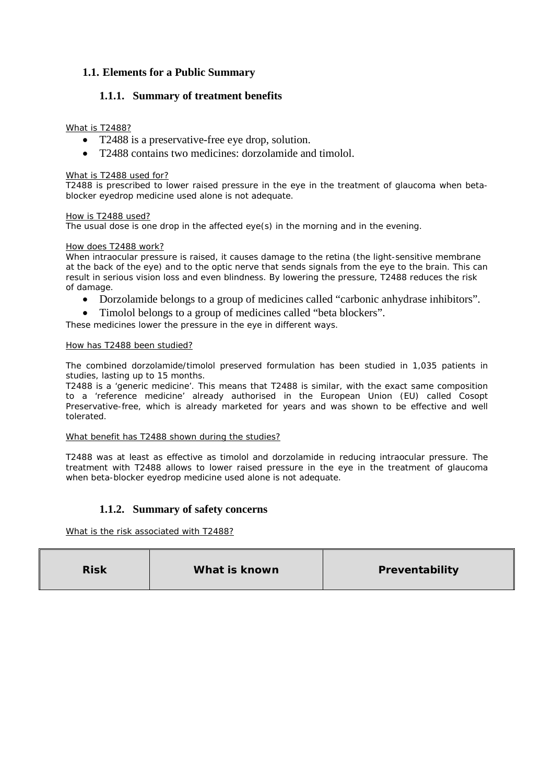# **1.1. Elements for a Public Summary**

# **1.1.1. Summary of treatment benefits**

### What is T2488?

- T2488 is a preservative-free eye drop, solution.
- T2488 contains two medicines: dorzolamide and timolol.

#### What is T2488 used for?

T2488 is prescribed to lower raised pressure in the eye in the treatment of glaucoma when betablocker eyedrop medicine used alone is not adequate.

#### How is T2488 used?

The usual dose is one drop in the affected eye(s) in the morning and in the evening.

#### How does T2488 work?

When intraocular pressure is raised, it causes damage to the retina (the light-sensitive membrane at the back of the eye) and to the optic nerve that sends signals from the eye to the brain. This can result in serious vision loss and even blindness. By lowering the pressure, T2488 reduces the risk of damage.

- Dorzolamide belongs to a group of medicines called "carbonic anhydrase inhibitors".
- Timolol belongs to a group of medicines called "beta blockers".

These medicines lower the pressure in the eye in different ways.

#### How has T2488 been studied?

The combined dorzolamide/timolol preserved formulation has been studied in 1,035 patients in studies, lasting up to 15 months.

T2488 is a 'generic medicine'. This means that T2488 is similar, with the exact same composition to a 'reference medicine' already authorised in the European Union (EU) called Cosopt Preservative-free, which is already marketed for years and was shown to be effective and well tolerated.

#### What benefit has T2488 shown during the studies?

T2488 was at least as effective as timolol and dorzolamide in reducing intraocular pressure. The treatment with T2488 allows to lower raised pressure in the eye in the treatment of glaucoma when beta-blocker eyedrop medicine used alone is not adequate.

## **1.1.2. Summary of safety concerns**

What is the risk associated with T2488?

| <b>Risk</b> | What is known | Preventability |
|-------------|---------------|----------------|
|-------------|---------------|----------------|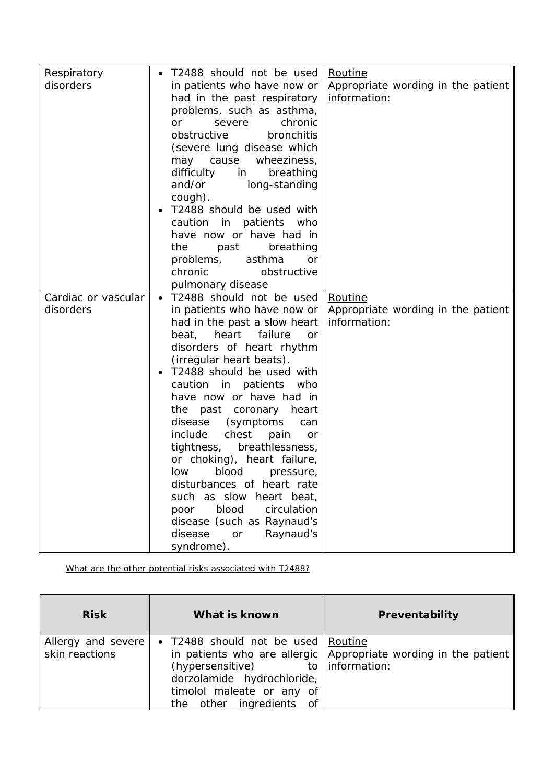| Respiratory         | T2488 should not be used<br>$\bullet$ | Routine                            |
|---------------------|---------------------------------------|------------------------------------|
| disorders           | in patients who have now or           | Appropriate wording in the patient |
|                     | had in the past respiratory           | information:                       |
|                     | problems, such as asthma,             |                                    |
|                     | chronic<br>severe<br>or               |                                    |
|                     | obstructive<br>bronchitis             |                                    |
|                     | (severe lung disease which            |                                    |
|                     | may cause<br>wheeziness,              |                                    |
|                     | difficulty<br>breathing<br>in         |                                    |
|                     | and/or<br>long-standing               |                                    |
|                     | cough).                               |                                    |
|                     | T2488 should be used with             |                                    |
|                     | in patients<br>caution<br>who         |                                    |
|                     | have now or have had in               |                                    |
|                     | breathing<br>the<br>past              |                                    |
|                     | problems,<br>asthma<br>or             |                                    |
|                     | chronic<br>obstructive                |                                    |
|                     | pulmonary disease                     |                                    |
| Cardiac or vascular | T2488 should not be used<br>$\bullet$ | Routine                            |
| disorders           | in patients who have now or           | Appropriate wording in the patient |
|                     | had in the past a slow heart          | information:                       |
|                     | failure<br>beat,<br>heart<br>or       |                                    |
|                     | disorders of heart rhythm             |                                    |
|                     | (irregular heart beats).              |                                    |
|                     | T2488 should be used with             |                                    |
|                     | caution in patients<br>who            |                                    |
|                     | have now or have had in               |                                    |
|                     | the past coronary heart               |                                    |
|                     | disease<br>(symptoms)<br>can          |                                    |
|                     | include<br>chest<br>pain<br>or        |                                    |
|                     | tightness, breathlessness,            |                                    |
|                     | or choking), heart failure,           |                                    |
|                     | blood<br>low<br>pressure,             |                                    |
|                     | disturbances of heart rate            |                                    |
|                     | such as slow heart beat,              |                                    |
|                     | blood<br>circulation<br>poor          |                                    |
|                     | disease (such as Raynaud's            |                                    |
|                     | disease<br>Raynaud's<br>or            |                                    |
|                     | syndrome).                            |                                    |

What are the other potential risks associated with T2488?

| <b>Risk</b>                          | What is known                                                                                                                                                     | Preventability                                                  |
|--------------------------------------|-------------------------------------------------------------------------------------------------------------------------------------------------------------------|-----------------------------------------------------------------|
| Allergy and severe<br>skin reactions | • T2488 should not be used Routine<br>(hypersensitive) to $ $ information:<br>dorzolamide hydrochloride,<br>timolol maleate or any of<br>the other ingredients of | in patients who are allergic Appropriate wording in the patient |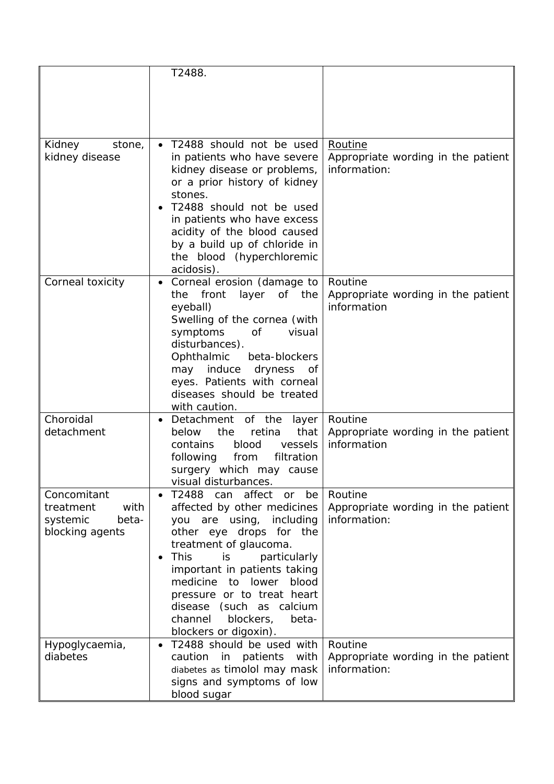|                                                                          | T2488.                                                                                                                                                                                                                                                                                                                                                                            |                                                               |
|--------------------------------------------------------------------------|-----------------------------------------------------------------------------------------------------------------------------------------------------------------------------------------------------------------------------------------------------------------------------------------------------------------------------------------------------------------------------------|---------------------------------------------------------------|
|                                                                          |                                                                                                                                                                                                                                                                                                                                                                                   |                                                               |
|                                                                          |                                                                                                                                                                                                                                                                                                                                                                                   |                                                               |
| Kidney<br>stone,<br>kidney disease                                       | T2488 should not be used<br>$\bullet$<br>in patients who have severe<br>kidney disease or problems,<br>or a prior history of kidney<br>stones.<br>T2488 should not be used<br>in patients who have excess<br>acidity of the blood caused<br>by a build up of chloride in<br>the blood (hyperchloremic<br>acidosis).                                                               | Routine<br>Appropriate wording in the patient<br>information: |
| Corneal toxicity                                                         | Corneal erosion (damage to<br>layer of the<br>front<br>the<br>eyeball)<br>Swelling of the cornea (with<br>symptoms<br>0f<br>visual<br>disturbances).<br>Ophthalmic<br>beta-blockers<br>may induce<br>dryness<br>of<br>eyes. Patients with corneal<br>diseases should be treated<br>with caution.                                                                                  | Routine<br>Appropriate wording in the patient<br>information  |
| Choroidal<br>detachment                                                  | Detachment of the<br>layer<br>$\bullet$<br>retina<br>that<br>below<br>the<br>contains<br>blood<br>vessels<br>filtration<br>following<br>from<br>surgery which may cause<br>visual disturbances.                                                                                                                                                                                   | Routine<br>Appropriate wording in the patient<br>information  |
| Concomitant<br>with<br>treatment<br>systemic<br>beta-<br>blocking agents | affect<br>T2488<br>can<br>be<br><b>or</b><br>affected by other medicines<br>you are using, including<br>other eye drops for the<br>treatment of glaucoma.<br><b>This</b><br>particularly<br>is.<br>important in patients taking<br>medicine to lower<br>blood<br>pressure or to treat heart<br>disease (such as calcium<br>blockers,<br>channel<br>beta-<br>blockers or digoxin). | Routine<br>Appropriate wording in the patient<br>information: |
| Hypoglycaemia,<br>diabetes                                               | T2488 should be used with<br>caution<br>in<br>patients<br>with<br>diabetes as timolol may mask<br>signs and symptoms of low<br>blood sugar                                                                                                                                                                                                                                        | Routine<br>Appropriate wording in the patient<br>information: |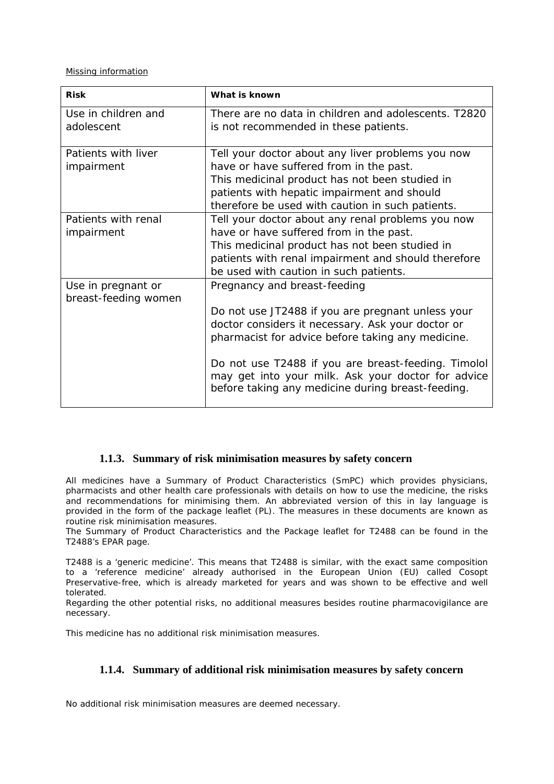Missing information

| <b>Risk</b>                                | What is known                                                                                                                                                  |
|--------------------------------------------|----------------------------------------------------------------------------------------------------------------------------------------------------------------|
| Use in children and                        | There are no data in children and adolescents. T2820                                                                                                           |
| adolescent                                 | is not recommended in these patients.                                                                                                                          |
| Patients with liver                        | Tell your doctor about any liver problems you now                                                                                                              |
| impairment                                 | have or have suffered from in the past.                                                                                                                        |
|                                            | This medicinal product has not been studied in                                                                                                                 |
|                                            | patients with hepatic impairment and should                                                                                                                    |
|                                            | therefore be used with caution in such patients.                                                                                                               |
| Patients with renal                        | Tell your doctor about any renal problems you now                                                                                                              |
| impairment                                 | have or have suffered from in the past.                                                                                                                        |
|                                            | This medicinal product has not been studied in                                                                                                                 |
|                                            | patients with renal impairment and should therefore                                                                                                            |
|                                            | be used with caution in such patients.                                                                                                                         |
| Use in pregnant or<br>breast-feeding women | Pregnancy and breast-feeding                                                                                                                                   |
|                                            | Do not use JT2488 if you are pregnant unless your                                                                                                              |
|                                            | doctor considers it necessary. Ask your doctor or                                                                                                              |
|                                            | pharmacist for advice before taking any medicine.                                                                                                              |
|                                            | Do not use T2488 if you are breast-feeding. Timolol<br>may get into your milk. Ask your doctor for advice<br>before taking any medicine during breast-feeding. |

## **1.1.3. Summary of risk minimisation measures by safety concern**

All medicines have a Summary of Product Characteristics (SmPC) which provides physicians, pharmacists and other health care professionals with details on how to use the medicine, the risks and recommendations for minimising them. An abbreviated version of this in lay language is provided in the form of the package leaflet (PL). The measures in these documents are known as routine risk minimisation measures.

The Summary of Product Characteristics and the Package leaflet for T2488 can be found in the T2488's EPAR page.

T2488 is a 'generic medicine'. This means that T2488 is similar, with the exact same composition to a 'reference medicine' already authorised in the European Union (EU) called Cosopt Preservative-free, which is already marketed for years and was shown to be effective and well tolerated.

Regarding the other potential risks, no additional measures besides routine pharmacovigilance are necessary.

This medicine has no additional risk minimisation measures.

## **1.1.4. Summary of additional risk minimisation measures by safety concern**

No additional risk minimisation measures are deemed necessary.